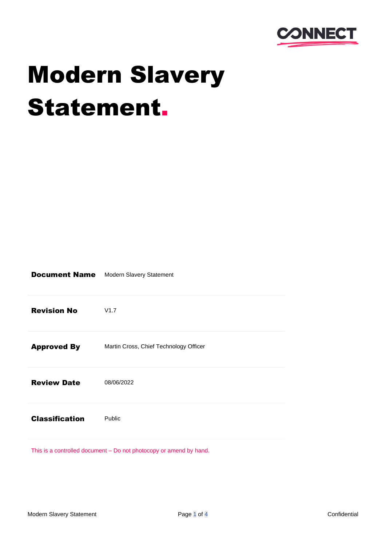

# Modern Slavery Statement.

| <b>Document Name</b>  | Modern Slavery Statement               |
|-----------------------|----------------------------------------|
| <b>Revision No</b>    | V1.7                                   |
| <b>Approved By</b>    | Martin Cross, Chief Technology Officer |
| <b>Review Date</b>    | 08/06/2022                             |
| <b>Classification</b> | Public                                 |
|                       |                                        |

This is a controlled document – Do not photocopy or amend by hand.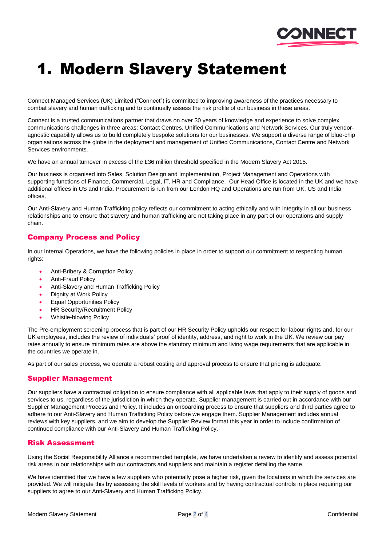

### 1. Modern Slavery Statement

Connect Managed Services (UK) Limited ("Connect") is committed to improving awareness of the practices necessary to combat slavery and human trafficking and to continually assess the risk profile of our business in these areas.

Connect is a trusted communications partner that draws on over 30 years of knowledge and experience to solve complex communications challenges in three areas: Contact Centres, Unified Communications and Network Services. Our truly vendoragnostic capability allows us to build completely bespoke solutions for our businesses. We support a diverse range of blue-chip organisations across the globe in the deployment and management of Unified Communications, Contact Centre and Network Services environments.

We have an annual turnover in excess of the £36 million threshold specified in the Modern Slavery Act 2015.

Our business is organised into Sales, Solution Design and Implementation, Project Management and Operations with supporting functions of Finance, Commercial, Legal, IT, HR and Compliance. Our Head Office is located in the UK and we have additional offices in US and India. Procurement is run from our London HQ and Operations are run from UK, US and India offices.

Our Anti-Slavery and Human Trafficking policy reflects our commitment to acting ethically and with integrity in all our business relationships and to ensure that slavery and human trafficking are not taking place in any part of our operations and supply chain.

#### Company Process and Policy

In our Internal Operations, we have the following policies in place in order to support our commitment to respecting human rights:

- Anti-Bribery & Corruption Policy
- Anti-Fraud Policy
- Anti-Slavery and Human Trafficking Policy
- Dignity at Work Policy
- Equal Opportunities Policy
- HR Security/Recruitment Policy
- Whistle-blowing Policy

The Pre-employment screening process that is part of our HR Security Policy upholds our respect for labour rights and, for our UK employees, includes the review of individuals' proof of identity, address, and right to work in the UK. We review our pay rates annually to ensure minimum rates are above the statutory minimum and living wage requirements that are applicable in the countries we operate in.

As part of our sales process, we operate a robust costing and approval process to ensure that pricing is adequate.

#### Supplier Management

Our suppliers have a contractual obligation to ensure compliance with all applicable laws that apply to their supply of goods and services to us, regardless of the jurisdiction in which they operate. Supplier management is carried out in accordance with our Supplier Management Process and Policy. It includes an onboarding process to ensure that suppliers and third parties agree to adhere to our Anti-Slavery and Human Trafficking Policy before we engage them. Supplier Management includes annual reviews with key suppliers, and we aim to develop the Supplier Review format this year in order to include confirmation of continued compliance with our Anti-Slavery and Human Trafficking Policy.

#### Risk Assessment

Using the [Social Responsibility Alliance's](https://www.socialresponsibilityalliance.org/) recommended template, we have undertaken a review to identify and assess potential risk areas in our relationships with our contractors and suppliers and maintain a register detailing the same.

We have identified that we have a few suppliers who potentially pose a higher risk, given the locations in which the services are provided. We will mitigate this by assessing the skill levels of workers and by having contractual controls in place requiring our suppliers to agree to our Anti-Slavery and Human Trafficking Policy.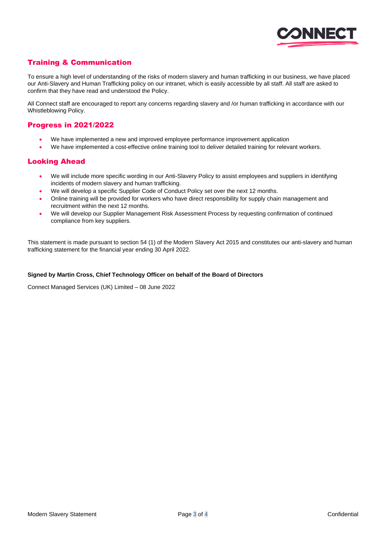

#### Training & Communication

To ensure a high level of understanding of the risks of modern slavery and human trafficking in our business, we have placed our Anti-Slavery and Human Trafficking policy on our intranet, which is easily accessible by all staff. All staff are asked to confirm that they have read and understood the Policy.

All Connect staff are encouraged to report any concerns regarding slavery and /or human trafficking in accordance with our Whistleblowing Policy.

#### Progress in 2021/2022

- We have implemented a new and improved employee performance improvement application
- We have implemented a cost-effective online training tool to deliver detailed training for relevant workers.

#### Looking Ahead

- We will include more specific wording in our Anti-Slavery Policy to assist employees and suppliers in identifying incidents of modern slavery and human trafficking.
- We will develop a specific Supplier Code of Conduct Policy set over the next 12 months.
- Online training will be provided for workers who have direct responsibility for supply chain management and recruitment within the next 12 months.
- We will develop our Supplier Management Risk Assessment Process by requesting confirmation of continued compliance from key suppliers.

This statement is made pursuant to section 54 (1) of the Modern Slavery Act 2015 and constitutes our anti-slavery and human trafficking statement for the financial year ending 30 April 2022.

#### **Signed by Martin Cross, Chief Technology Officer on behalf of the Board of Directors**

Connect Managed Services (UK) Limited – 08 June 2022